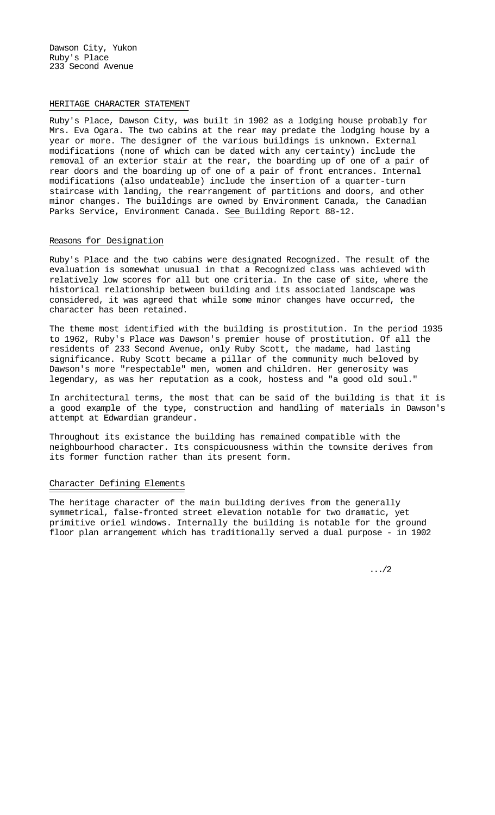Dawson City, Yukon Ruby's Place 233 Second Avenue

## HERITAGE CHARACTER STATEMENT

Ruby's Place, Dawson City, was built in 1902 as a lodging house probably for Mrs. Eva Ogara. The two cabins at the rear may predate the lodging house by a year or more. The designer of the various buildings is unknown. External modifications (none of which can be dated with any certainty) include the removal of an exterior stair at the rear, the boarding up of one of a pair of rear doors and the boarding up of one of a pair of front entrances. Internal modifications (also undateable) include the insertion of a quarter-turn staircase with landing, the rearrangement of partitions and doors, and other minor changes. The buildings are owned by Environment Canada, the Canadian Parks Service, Environment Canada. See Building Report 88-12.

## Reasons for Designation

Ruby's Place and the two cabins were designated Recognized. The result of the evaluation is somewhat unusual in that a Recognized class was achieved with relatively low scores for all but one criteria. In the case of site, where the historical relationship between building and its associated landscape was considered, it was agreed that while some minor changes have occurred, the character has been retained.

The theme most identified with the building is prostitution. In the period 1935 to 1962, Ruby's Place was Dawson's premier house of prostitution. Of all the residents of 233 Second Avenue, only Ruby Scott, the madame, had lasting significance. Ruby Scott became a pillar of the community much beloved by Dawson's more "respectable" men, women and children. Her generosity was legendary, as was her reputation as a cook, hostess and "a good old soul."

In architectural terms, the most that can be said of the building is that it is a good example of the type, construction and handling of materials in Dawson's attempt at Edwardian grandeur.

Throughout its existance the building has remained compatible with the neighbourhood character. Its conspicuousness within the townsite derives from its former function rather than its present form.

## Character Defining Elements

The heritage character of the main building derives from the generally symmetrical, false-fronted street elevation notable for two dramatic, yet primitive oriel windows. Internally the building is notable for the ground floor plan arrangement which has traditionally served a dual purpose - in 1902

.../2